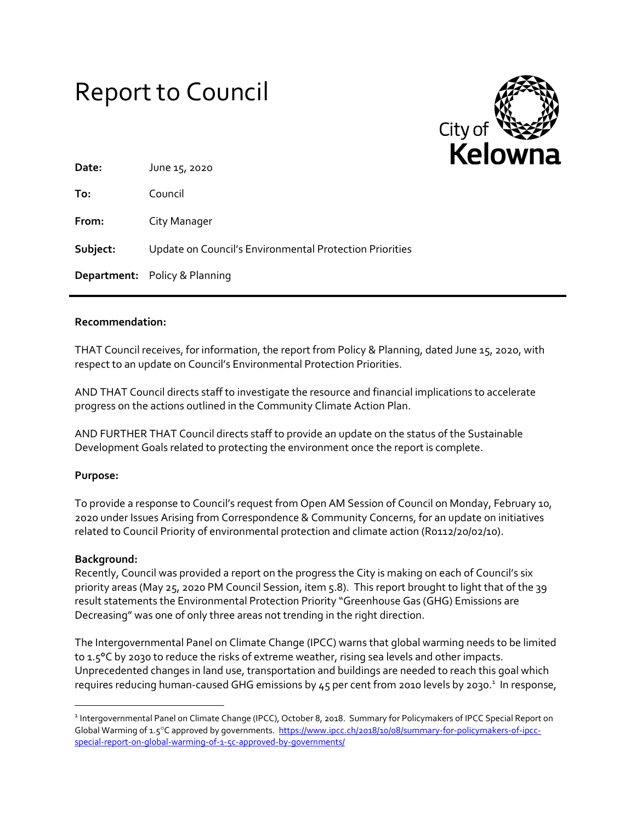# Report to Council



| Date:    | June 15, 2020                                           |
|----------|---------------------------------------------------------|
| To:      | Council                                                 |
| From:    | City Manager                                            |
| Subject: | Update on Council's Environmental Protection Priorities |
|          | <b>Department:</b> Policy & Planning                    |

### **Recommendation:**

THAT Council receives, for information, the report from Policy & Planning, dated June 15, 2020, with respect to an update on Council's Environmental Protection Priorities.

AND THAT Council directs staff to investigate the resource and financial implications to accelerate progress on the actions outlined in the Community Climate Action Plan.

AND FURTHER THAT Council directs staff to provide an update on the status of the Sustainable Development Goals related to protecting the environment once the report is complete.

#### **Purpose:**

To provide a response to Council's request from Open AM Session of Council on Monday, February 10, 2020 under Issues Arising from Correspondence & Community Concerns, for an update on initiatives related to Council Priority of environmental protection and climate action (R0112/20/02/10).

#### **Background:**

 $\overline{\phantom{a}}$ 

Recently, Council was provided a report on the progress the City is making on each of Council's six priority areas (May 25, 2020 PM Council Session, item 5.8). This report brought to light that of the 39 result statements the Environmental Protection Priority "Greenhouse Gas (GHG) Emissions are Decreasing" was one of only three areas not trending in the right direction.

The Intergovernmental Panel on Climate Change (IPCC) warns that global warming needs to be limited to 1.5°C by 2030 to reduce the risks of extreme weather, rising sea levels and other impacts. Unprecedented changes in land use, transportation and buildings are needed to reach this goal which requires reducing human-caused GHG emissions by 45 per cent from 2010 levels by 2030.<sup>1</sup> In response,

<sup>&</sup>lt;sup>1</sup> Intergovernmental Panel on Climate Change (IPCC), October 8, 2018. Summary for Policymakers of IPCC Special Report on Global Warming of 1.5°C approved by governments. [https://www.ipcc.ch/2018/10/08/summary-for-policymakers-of-ipcc](https://www.ipcc.ch/2018/10/08/summary-for-policymakers-of-ipcc-special-report-on-global-warming-of-1-5c-approved-by-governments/)[special-report-on-global-warming-of-1-5c-approved-by-governments/](https://www.ipcc.ch/2018/10/08/summary-for-policymakers-of-ipcc-special-report-on-global-warming-of-1-5c-approved-by-governments/)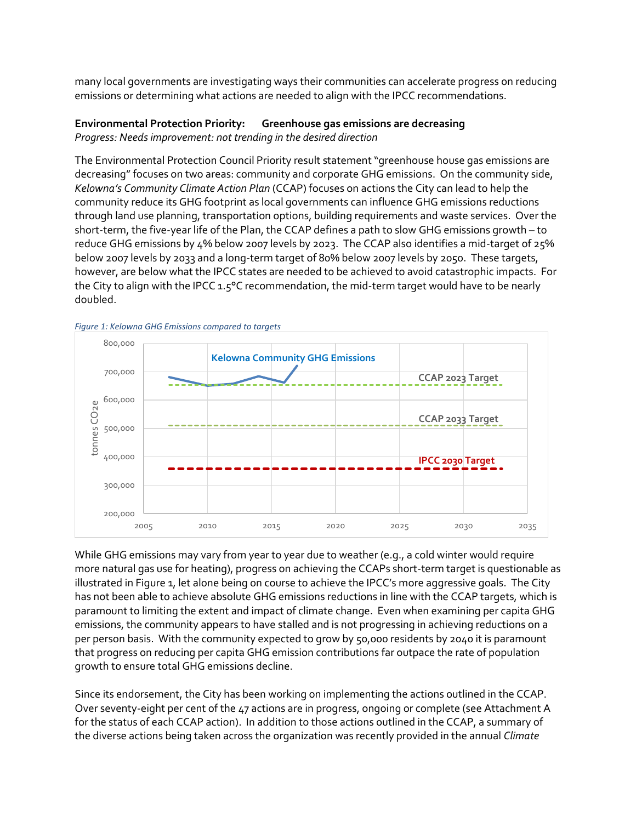many local governments are investigating ways their communities can accelerate progress on reducing emissions or determining what actions are needed to align with the IPCC recommendations.

#### **Environmental Protection Priority: Greenhouse gas emissions are decreasing** *Progress: Needs improvement: not trending in the desired direction*

The Environmental Protection Council Priority result statement "greenhouse house gas emissions are decreasing" focuses on two areas: community and corporate GHG emissions. On the community side, *Kelowna's Community Climate Action Plan* (CCAP) focuses on actions the City can lead to help the community reduce its GHG footprint as local governments can influence GHG emissions reductions through land use planning, transportation options, building requirements and waste services. Over the short-term, the five-year life of the Plan, the CCAP defines a path to slow GHG emissions growth – to reduce GHG emissions by 4% below 2007 levels by 2023. The CCAP also identifies a mid-target of 25% below 2007 levels by 2033 and a long-term target of 80% below 2007 levels by 2050. These targets, however, are below what the IPCC states are needed to be achieved to avoid catastrophic impacts. For the City to align with the IPCC 1.5°C recommendation, the mid-term target would have to be nearly doubled.



*Figure 1: Kelowna GHG Emissions compared to targets*

While GHG emissions may vary from year to year due to weather (e.g., a cold winter would require more natural gas use for heating), progress on achieving the CCAPs short-term target is questionable as illustrated in Figure 1, let alone being on course to achieve the IPCC's more aggressive goals. The City has not been able to achieve absolute GHG emissions reductions in line with the CCAP targets, which is paramount to limiting the extent and impact of climate change. Even when examining per capita GHG emissions, the community appears to have stalled and is not progressing in achieving reductions on a per person basis. With the community expected to grow by 50,000 residents by 2040 it is paramount that progress on reducing per capita GHG emission contributions far outpace the rate of population growth to ensure total GHG emissions decline.

Since its endorsement, the City has been working on implementing the actions outlined in the CCAP. Over seventy-eight per cent of the 47 actions are in progress, ongoing or complete (see Attachment A for the status of each CCAP action). In addition to those actions outlined in the CCAP, a summary of the diverse actions being taken across the organization was recently provided in the annual *Climate*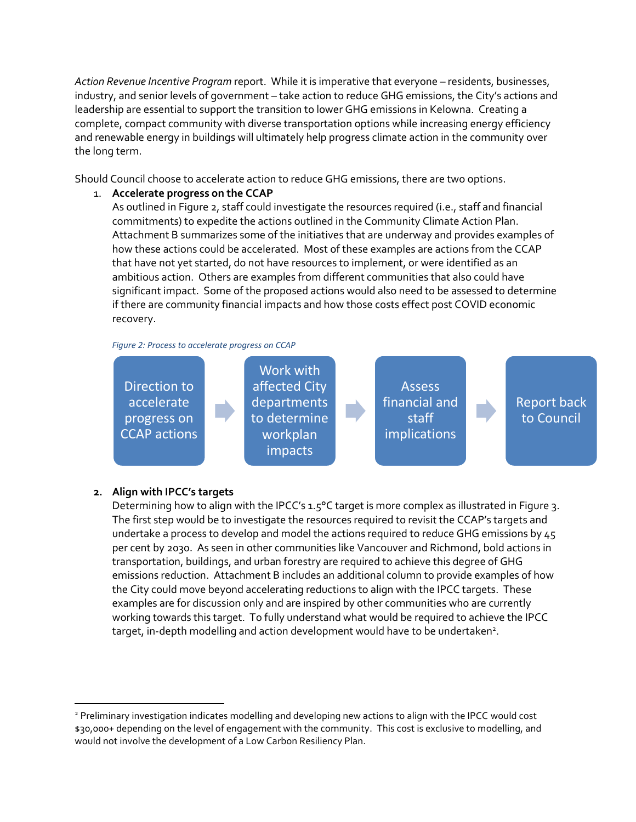*Action Revenue Incentive Program* report. While it is imperative that everyone – residents, businesses, industry, and senior levels of government – take action to reduce GHG emissions, the City's actions and leadership are essential to support the transition to lower GHG emissions in Kelowna. Creating a complete, compact community with diverse transportation options while increasing energy efficiency and renewable energy in buildings will ultimately help progress climate action in the community over the long term.

Should Council choose to accelerate action to reduce GHG emissions, there are two options.

# 1. **Accelerate progress on the CCAP**

As outlined in Figure 2, staff could investigate the resources required (i.e., staff and financial commitments) to expedite the actions outlined in the Community Climate Action Plan. Attachment B summarizes some of the initiatives that are underway and provides examples of how these actions could be accelerated. Most of these examples are actions from the CCAP that have not yet started, do not have resources to implement, or were identified as an ambitious action. Others are examples from different communities that also could have significant impact. Some of the proposed actions would also need to be assessed to determine if there are community financial impacts and how those costs effect post COVID economic recovery.

*Figure 2: Process to accelerate progress on CCAP*



# **2. Align with IPCC's targets**

 $\overline{\phantom{a}}$ 

Determining how to align with the IPCC's 1.5°C target is more complex as illustrated in Figure 3. The first step would be to investigate the resources required to revisit the CCAP's targets and undertake a process to develop and model the actions required to reduce GHG emissions by 45 per cent by 2030. As seen in other communities like Vancouver and Richmond, bold actions in transportation, buildings, and urban forestry are required to achieve this degree of GHG emissions reduction. Attachment B includes an additional column to provide examples of how the City could move beyond accelerating reductions to align with the IPCC targets. These examples are for discussion only and are inspired by other communities who are currently working towards this target. To fully understand what would be required to achieve the IPCC target, in-depth modelling and action development would have to be undertaken<sup>2</sup>.

<sup>2</sup> Preliminary investigation indicates modelling and developing new actions to align with the IPCC would cost \$30,000+ depending on the level of engagement with the community. This cost is exclusive to modelling, and would not involve the development of a Low Carbon Resiliency Plan.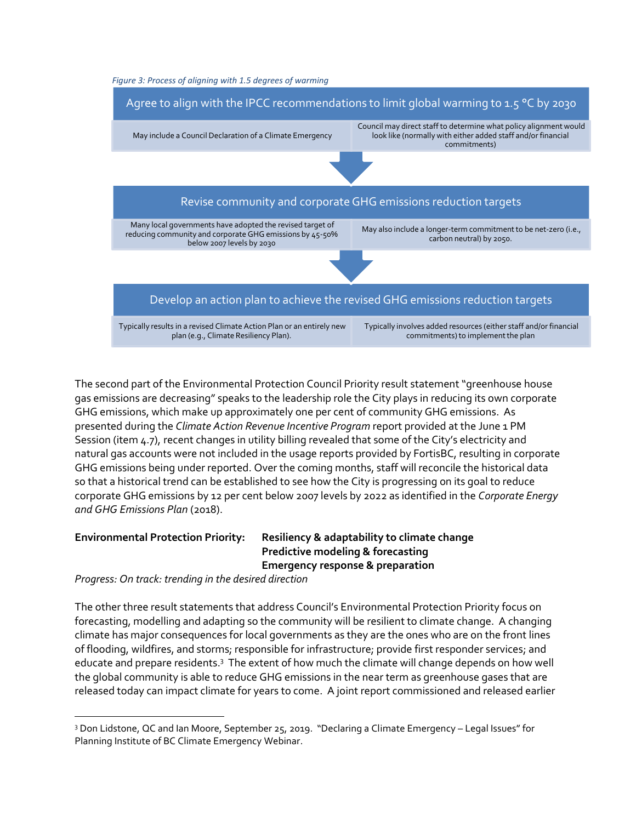



The second part of the Environmental Protection Council Priority result statement "greenhouse house gas emissions are decreasing" speaks to the leadership role the City plays in reducing its own corporate GHG emissions, which make up approximately one per cent of community GHG emissions. As presented during the *Climate Action Revenue Incentive Program* report provided at the June 1 PM Session (item 4.7), recent changes in utility billing revealed that some of the City's electricity and natural gas accounts were not included in the usage reports provided by FortisBC, resulting in corporate GHG emissions being under reported. Over the coming months, staff will reconcile the historical data so that a historical trend can be established to see how the City is progressing on its goal to reduce corporate GHG emissions by 12 per cent below 2007 levels by 2022 as identified in the *Corporate Energy and GHG Emissions Plan* (2018).

l

# **Environmental Protection Priority: Resiliency & adaptability to climate change Predictive modeling & forecasting Emergency response & preparation**

*Progress: On track: trending in the desired direction*

The other three result statements that address Council's Environmental Protection Priority focus on forecasting, modelling and adapting so the community will be resilient to climate change. A changing climate has major consequences for local governments as they are the ones who are on the front lines of flooding, wildfires, and storms; responsible for infrastructure; provide first responder services; and educate and prepare residents.<sup>3</sup> The extent of how much the climate will change depends on how well the global community is able to reduce GHG emissions in the near term as greenhouse gases that are released today can impact climate for years to come. A joint report commissioned and released earlier

<sup>3</sup> Don Lidstone, QC and Ian Moore, September 25, 2019. "Declaring a Climate Emergency – Legal Issues" for Planning Institute of BC Climate Emergency Webinar.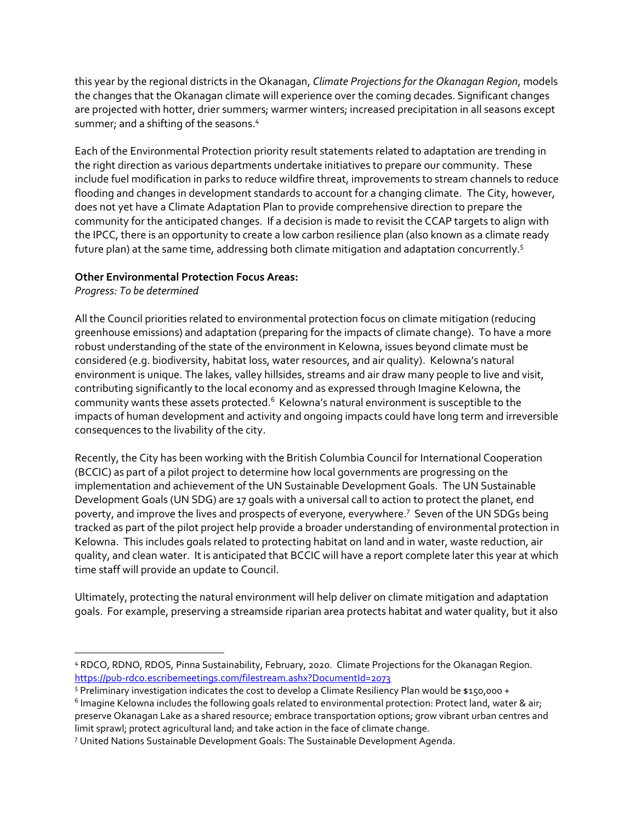this year by the regional districts in the Okanagan, *Climate Projections for the Okanagan Region*, models the changes that the Okanagan climate will experience over the coming decades. Significant changes are projected with hotter, drier summers; warmer winters; increased precipitation in all seasons except summer; and a shifting of the seasons. 4

Each of the Environmental Protection priority result statements related to adaptation are trending in the right direction as various departments undertake initiatives to prepare our community. These include fuel modification in parks to reduce wildfire threat, improvements to stream channels to reduce flooding and changes in development standards to account for a changing climate. The City, however, does not yet have a Climate Adaptation Plan to provide comprehensive direction to prepare the community for the anticipated changes. If a decision is made to revisit the CCAP targets to align with the IPCC, there is an opportunity to create a low carbon resilience plan (also known as a climate ready future plan) at the same time, addressing both climate mitigation and adaptation concurrently.<sup>5</sup>

### **Other Environmental Protection Focus Areas:**

*Progress: To be determined*

 $\overline{\phantom{a}}$ 

All the Council priorities related to environmental protection focus on climate mitigation (reducing greenhouse emissions) and adaptation (preparing for the impacts of climate change). To have a more robust understanding of the state of the environment in Kelowna, issues beyond climate must be considered (e.g. biodiversity, habitat loss, water resources, and air quality). Kelowna's natural environment is unique. The lakes, valley hillsides, streams and air draw many people to live and visit, contributing significantly to the local economy and as expressed through Imagine Kelowna, the community wants these assets protected. $^6$  Kelowna's natural environment is susceptible to the impacts of human development and activity and ongoing impacts could have long term and irreversible consequences to the livability of the city.

Recently, the City has been working with the British Columbia Council for International Cooperation (BCCIC) as part of a pilot project to determine how local governments are progressing on the implementation and achievement of the UN Sustainable Development Goals. The UN Sustainable Development Goals (UN SDG) are 17 goals with a universal call to action to protect the planet, end poverty, and improve the lives and prospects of everyone, everywhere.<sup>7</sup> Seven of the UN SDGs being tracked as part of the pilot project help provide a broader understanding of environmental protection in Kelowna. This includes goals related to protecting habitat on land and in water, waste reduction, air quality, and clean water. It is anticipated that BCCIC will have a report complete later this year at which time staff will provide an update to Council.

Ultimately, protecting the natural environment will help deliver on climate mitigation and adaptation goals. For example, preserving a streamside riparian area protects habitat and water quality, but it also

<sup>4</sup> RDCO, RDNO, RDOS, Pinna Sustainability, February, 2020. Climate Projections for the Okanagan Region. <https://pub-rdco.escribemeetings.com/filestream.ashx?DocumentId=2073>

<sup>5</sup> Preliminary investigation indicates the cost to develop a Climate Resiliency Plan would be \$150,000 +

 $^6$  Imagine Kelowna includes the following goals related to environmental protection: Protect land, water & air; preserve Okanagan Lake as a shared resource; embrace transportation options; grow vibrant urban centres and limit sprawl; protect agricultural land; and take action in the face of climate change.

<sup>7</sup> United Nations Sustainable Development Goals: The Sustainable Development Agenda.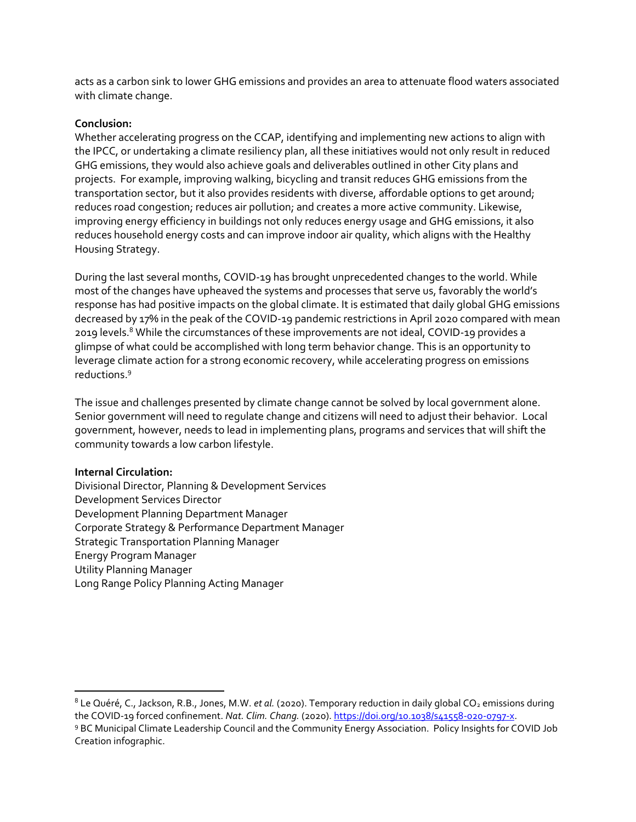acts as a carbon sink to lower GHG emissions and provides an area to attenuate flood waters associated with climate change.

#### **Conclusion:**

Whether accelerating progress on the CCAP, identifying and implementing new actions to align with the IPCC, or undertaking a climate resiliency plan, all these initiatives would not only result in reduced GHG emissions, they would also achieve goals and deliverables outlined in other City plans and projects. For example, improving walking, bicycling and transit reduces GHG emissions from the transportation sector, but it also provides residents with diverse, affordable options to get around; reduces road congestion; reduces air pollution; and creates a more active community. Likewise, improving energy efficiency in buildings not only reduces energy usage and GHG emissions, it also reduces household energy costs and can improve indoor air quality, which aligns with the Healthy Housing Strategy.

During the last several months, COVID-19 has brought unprecedented changes to the world. While most of the changes have upheaved the systems and processes that serve us, favorably the world's response has had positive impacts on the global climate. It is estimated that daily global GHG emissions decreased by 17% in the peak of the COVID-19 pandemic restrictions in April 2020 compared with mean 2019 levels.<sup>8</sup> While the circumstances of these improvements are not ideal, COVID-19 provides a glimpse of what could be accomplished with long term behavior change. This is an opportunity to leverage climate action for a strong economic recovery, while accelerating progress on emissions reductions.<sup>9</sup>

The issue and challenges presented by climate change cannot be solved by local government alone. Senior government will need to regulate change and citizens will need to adjust their behavior. Local government, however, needs to lead in implementing plans, programs and services that will shift the community towards a low carbon lifestyle.

# **Internal Circulation:**

 $\overline{a}$ 

Divisional Director, Planning & Development Services Development Services Director Development Planning Department Manager Corporate Strategy & Performance Department Manager Strategic Transportation Planning Manager Energy Program Manager Utility Planning Manager Long Range Policy Planning Acting Manager

<sup>&</sup>lt;sup>8</sup> Le Quéré, C., Jackson, R.B., Jones, M.W. *et al.* (2020). Temporary reduction in daily global CO<sub>2</sub> emissions during the COVID-19 forced confinement. *Nat. Clim. Chang.* (2020)[. https://doi.org/10.1038/s41558-020-0797-x.](https://doi.org/10.1038/s41558-020-0797-x) <sup>9</sup> BC Municipal Climate Leadership Council and the Community Energy Association. Policy Insights for COVID Job Creation infographic.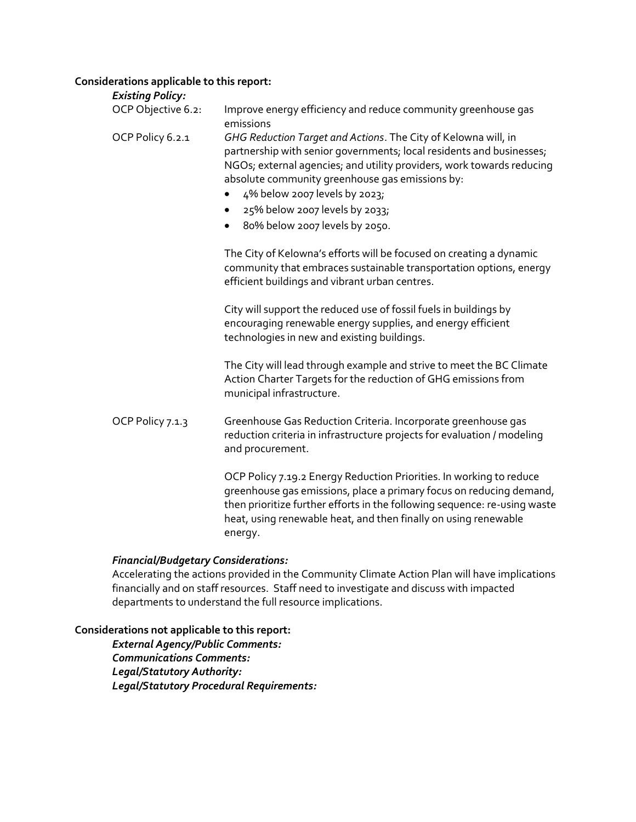# **Considerations applicable to this report:**

| <b>Existing Policy:</b> |                                                                                                                                                                                                                                                                                                                                                                                                        |
|-------------------------|--------------------------------------------------------------------------------------------------------------------------------------------------------------------------------------------------------------------------------------------------------------------------------------------------------------------------------------------------------------------------------------------------------|
| OCP Objective 6.2:      | Improve energy efficiency and reduce community greenhouse gas<br>emissions                                                                                                                                                                                                                                                                                                                             |
| OCP Policy 6.2.1        | GHG Reduction Target and Actions. The City of Kelowna will, in<br>partnership with senior governments; local residents and businesses;<br>NGOs; external agencies; and utility providers, work towards reducing<br>absolute community greenhouse gas emissions by:<br>4% below 2007 levels by 2023;<br>٠<br>25% below 2007 levels by 2033;<br>$\bullet$<br>80% below 2007 levels by 2050.<br>$\bullet$ |
|                         | The City of Kelowna's efforts will be focused on creating a dynamic<br>community that embraces sustainable transportation options, energy<br>efficient buildings and vibrant urban centres.                                                                                                                                                                                                            |
|                         | City will support the reduced use of fossil fuels in buildings by<br>encouraging renewable energy supplies, and energy efficient<br>technologies in new and existing buildings.                                                                                                                                                                                                                        |
|                         | The City will lead through example and strive to meet the BC Climate<br>Action Charter Targets for the reduction of GHG emissions from<br>municipal infrastructure.                                                                                                                                                                                                                                    |
| OCP Policy 7.1.3        | Greenhouse Gas Reduction Criteria. Incorporate greenhouse gas<br>reduction criteria in infrastructure projects for evaluation / modeling<br>and procurement.                                                                                                                                                                                                                                           |
|                         | OCP Policy 7.19.2 Energy Reduction Priorities. In working to reduce<br>greenhouse gas emissions, place a primary focus on reducing demand,<br>then prioritize further efforts in the following sequence: re-using waste<br>heat, using renewable heat, and then finally on using renewable                                                                                                             |

#### *Financial/Budgetary Considerations:*

energy.

Accelerating the actions provided in the Community Climate Action Plan will have implications financially and on staff resources. Staff need to investigate and discuss with impacted departments to understand the full resource implications.

# **Considerations not applicable to this report:**

*External Agency/Public Comments: Communications Comments: Legal/Statutory Authority: Legal/Statutory Procedural Requirements:*